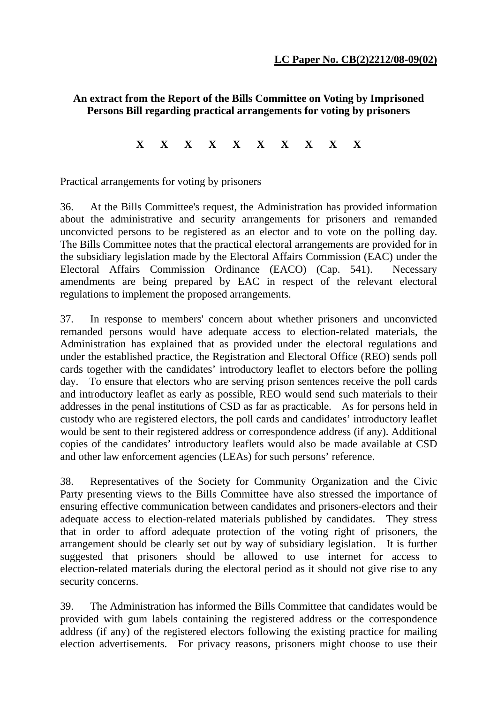## **An extract from the Report of the Bills Committee on Voting by Imprisoned Persons Bill regarding practical arrangements for voting by prisoners**

## **X X X X X X X X X X**

## Practical arrangements for voting by prisoners

36. At the Bills Committee's request, the Administration has provided information about the administrative and security arrangements for prisoners and remanded unconvicted persons to be registered as an elector and to vote on the polling day. The Bills Committee notes that the practical electoral arrangements are provided for in the subsidiary legislation made by the Electoral Affairs Commission (EAC) under the Electoral Affairs Commission Ordinance (EACO) (Cap. 541). Necessary amendments are being prepared by EAC in respect of the relevant electoral regulations to implement the proposed arrangements.

37. In response to members' concern about whether prisoners and unconvicted remanded persons would have adequate access to election-related materials, the Administration has explained that as provided under the electoral regulations and under the established practice, the Registration and Electoral Office (REO) sends poll cards together with the candidates' introductory leaflet to electors before the polling day. To ensure that electors who are serving prison sentences receive the poll cards and introductory leaflet as early as possible, REO would send such materials to their addresses in the penal institutions of CSD as far as practicable. As for persons held in custody who are registered electors, the poll cards and candidates' introductory leaflet would be sent to their registered address or correspondence address (if any). Additional copies of the candidates' introductory leaflets would also be made available at CSD and other law enforcement agencies (LEAs) for such persons' reference.

38. Representatives of the Society for Community Organization and the Civic Party presenting views to the Bills Committee have also stressed the importance of ensuring effective communication between candidates and prisoners-electors and their adequate access to election-related materials published by candidates. They stress that in order to afford adequate protection of the voting right of prisoners, the arrangement should be clearly set out by way of subsidiary legislation. It is further suggested that prisoners should be allowed to use internet for access to election-related materials during the electoral period as it should not give rise to any security concerns.

39. The Administration has informed the Bills Committee that candidates would be provided with gum labels containing the registered address or the correspondence address (if any) of the registered electors following the existing practice for mailing election advertisements. For privacy reasons, prisoners might choose to use their